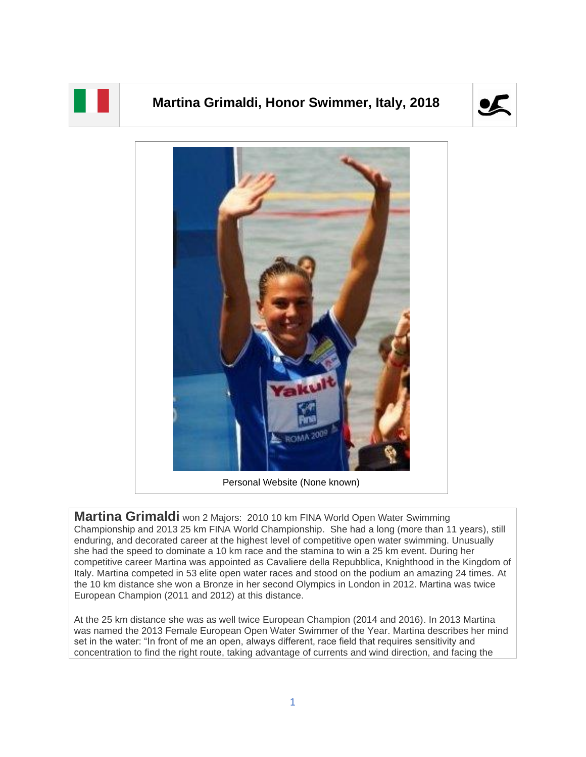

## **Martina Grimaldi, Honor Swimmer, Italy, 2018**





Personal Website (None known)

**Martina Grimaldi** won 2 Majors: 2010 10 km FINA World Open Water Swimming Championship and 2013 25 km FINA World Championship. She had a long (more than 11 years), still enduring, and decorated career at the highest level of competitive open water swimming. Unusually she had the speed to dominate a 10 km race and the stamina to win a 25 km event. During her competitive career Martina was appointed as Cavaliere della Repubblica, Knighthood in the Kingdom of Italy. Martina competed in 53 elite open water races and stood on the podium an amazing 24 times. At the 10 km distance she won a Bronze in her second Olympics in London in 2012. Martina was twice European Champion (2011 and 2012) at this distance.

At the 25 km distance she was as well twice European Champion (2014 and 2016). In 2013 Martina was named the 2013 Female European Open Water Swimmer of the Year. Martina describes her mind set in the water: "In front of me an open, always different, race field that requires sensitivity and concentration to find the right route, taking advantage of currents and wind direction, and facing the